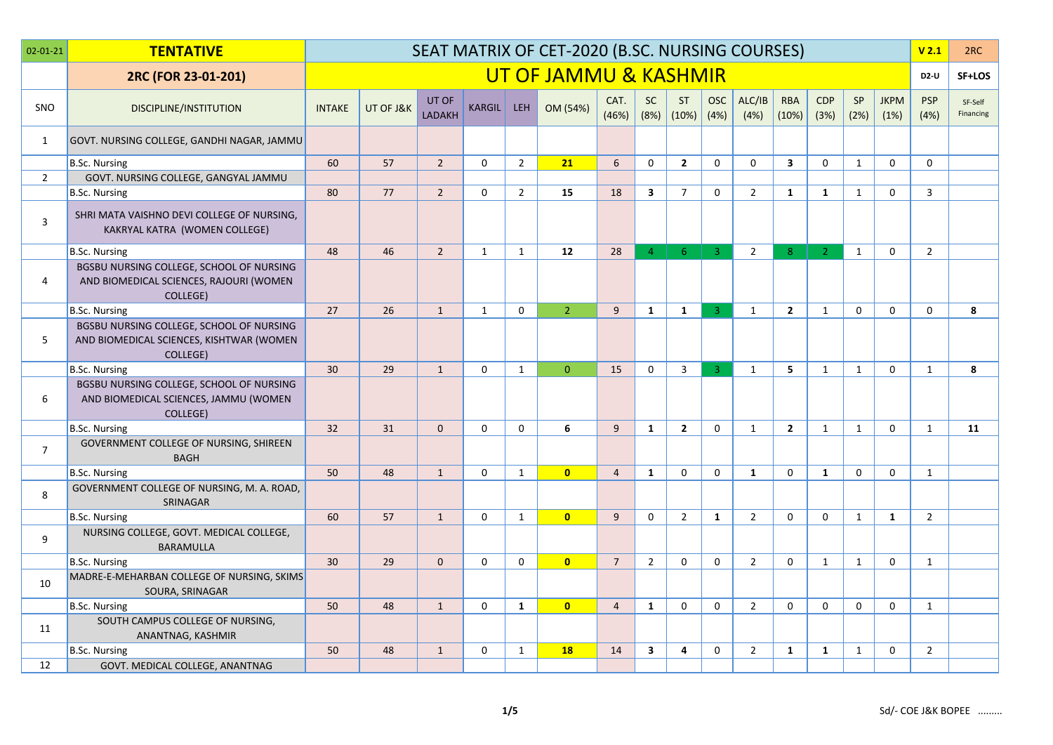| $02 - 01 - 21$ | <b>TENTATIVE</b>                                                                                       |               |           |                 |               |                | SEAT MATRIX OF CET-2020 (B.SC. NURSING COURSES) |                |                         |                    |                    |                |                         |                    |              |                     | V <sub>2.1</sub>   | 2RC                  |
|----------------|--------------------------------------------------------------------------------------------------------|---------------|-----------|-----------------|---------------|----------------|-------------------------------------------------|----------------|-------------------------|--------------------|--------------------|----------------|-------------------------|--------------------|--------------|---------------------|--------------------|----------------------|
|                | 2RC (FOR 23-01-201)                                                                                    |               |           |                 |               |                | UT OF JAMMU & KASHMIR                           |                |                         |                    |                    |                |                         |                    |              |                     | <b>D2-U</b>        | SF+LOS               |
| <b>SNO</b>     | <b>DISCIPLINE/INSTITUTION</b>                                                                          | <b>INTAKE</b> | UT OF J&K | UT OF<br>LADAKH | <b>KARGIL</b> | <b>LEH</b>     | OM (54%)                                        | CAT.<br>(46%)  | <b>SC</b><br>(8%)       | <b>ST</b><br>(10%) | <b>OSC</b><br>(4%) | ALC/IB<br>(4%) | <b>RBA</b><br>(10%)     | <b>CDP</b><br>(3%) | SP<br>(2%)   | <b>JKPM</b><br>(1%) | <b>PSP</b><br>(4%) | SF-Self<br>Financing |
| 1              | GOVT. NURSING COLLEGE, GANDHI NAGAR, JAMMU                                                             |               |           |                 |               |                |                                                 |                |                         |                    |                    |                |                         |                    |              |                     |                    |                      |
|                | <b>B.Sc. Nursing</b>                                                                                   | 60            | 57        | $\overline{2}$  | $\mathbf 0$   | $\overline{2}$ | 21                                              | 6              | $\mathsf{O}$            | $\overline{2}$     | $\mathbf 0$        | 0              | $\overline{\mathbf{3}}$ | 0                  | $\mathbf{1}$ | $\mathbf 0$         | $\mathbf 0$        |                      |
| $\overline{2}$ | GOVT. NURSING COLLEGE, GANGYAL JAMMU                                                                   |               |           |                 |               |                |                                                 |                |                         |                    |                    |                |                         |                    |              |                     |                    |                      |
|                | B.Sc. Nursing                                                                                          | 80            | 77        | $\overline{2}$  | $\Omega$      | $\overline{2}$ | 15                                              | 18             | $\overline{\mathbf{3}}$ | $\overline{7}$     | $\Omega$           | $\overline{2}$ | $\mathbf{1}$            | 1                  | $\mathbf{1}$ | $\mathbf 0$         | $\overline{3}$     |                      |
| $\overline{3}$ | SHRI MATA VAISHNO DEVI COLLEGE OF NURSING,<br>KAKRYAL KATRA (WOMEN COLLEGE)                            |               |           |                 |               |                |                                                 |                |                         |                    |                    |                |                         |                    |              |                     |                    |                      |
|                | <b>B.Sc. Nursing</b>                                                                                   | 48            | 46        | $\overline{2}$  | 1             | $\mathbf{1}$   | 12                                              | 28             | 4 <sup>1</sup>          | 6 <sup>°</sup>     | $-3$               | $\overline{2}$ | 8 <sup>°</sup>          | $\overline{2}$     | $\mathbf{1}$ | $\Omega$            | $\overline{2}$     |                      |
| 4              | BGSBU NURSING COLLEGE, SCHOOL OF NURSING<br>AND BIOMEDICAL SCIENCES, RAJOURI (WOMEN<br><b>COLLEGE)</b> |               |           |                 |               |                |                                                 |                |                         |                    |                    |                |                         |                    |              |                     |                    |                      |
|                | <b>B.Sc. Nursing</b>                                                                                   | 27            | 26        | $\mathbf{1}$    | $\mathbf{1}$  | $\mathbf 0$    | $\overline{2}$                                  | 9              | $\mathbf{1}$            | $\mathbf{1}$       | $\overline{3}$     | 1              | $\overline{2}$          | $\mathbf{1}$       | $\mathbf 0$  | $\mathbf 0$         | $\mathbf 0$        | 8                    |
| 5              | BGSBU NURSING COLLEGE, SCHOOL OF NURSING<br>AND BIOMEDICAL SCIENCES, KISHTWAR (WOMEN<br>COLLEGE)       |               |           |                 |               |                |                                                 |                |                         |                    |                    |                |                         |                    |              |                     |                    |                      |
|                | <b>B.Sc. Nursing</b>                                                                                   | 30            | 29        | $\mathbf{1}$    | $\mathbf 0$   | $\mathbf{1}$   | $\mathbf{0}$                                    | 15             | $\mathbf 0$             | $\overline{3}$     | $\overline{3}$     | 1              | 5                       | $\mathbf{1}$       | $\mathbf{1}$ | $\mathbf{0}$        | $\mathbf{1}$       | 8                    |
| 6              | BGSBU NURSING COLLEGE, SCHOOL OF NURSING<br>AND BIOMEDICAL SCIENCES, JAMMU (WOMEN<br>COLLEGE)          |               |           |                 |               |                |                                                 |                |                         |                    |                    |                |                         |                    |              |                     |                    |                      |
|                | B.Sc. Nursing                                                                                          | 32            | 31        | $\Omega$        | $\Omega$      | $\Omega$       | 6                                               | 9              | $\mathbf{1}$            | $\overline{2}$     | $\Omega$           | 1              | $\overline{2}$          | $\mathbf{1}$       | $\mathbf{1}$ | $\mathbf{0}$        | $\mathbf{1}$       | 11                   |
| $\overline{7}$ | GOVERNMENT COLLEGE OF NURSING, SHIREEN<br><b>BAGH</b>                                                  |               |           |                 |               |                |                                                 |                |                         |                    |                    |                |                         |                    |              |                     |                    |                      |
|                | <b>B.Sc. Nursing</b>                                                                                   | 50            | 48        | $\mathbf{1}$    | $\Omega$      | $\mathbf{1}$   | $\overline{0}$                                  | $\overline{4}$ | $\mathbf{1}$            | $\Omega$           | $\Omega$           | $\mathbf{1}$   | $\mathbf{0}$            | $\mathbf{1}$       | $\mathbf{0}$ | $\mathbf{0}$        | 1                  |                      |
| 8              | GOVERNMENT COLLEGE OF NURSING, M. A. ROAD,<br>SRINAGAR                                                 |               |           |                 |               |                |                                                 |                |                         |                    |                    |                |                         |                    |              |                     |                    |                      |
|                | B.Sc. Nursing                                                                                          | 60            | 57        | $\mathbf{1}$    | $\mathbf 0$   | $\mathbf{1}$   | $\overline{0}$                                  | 9              | $\mathbf 0$             | $\overline{2}$     | $\mathbf{1}$       | $\overline{2}$ | $\Omega$                | $\mathbf{0}$       | $\mathbf{1}$ | $\mathbf{1}$        | $\overline{2}$     |                      |
| 9              | NURSING COLLEGE, GOVT. MEDICAL COLLEGE,<br><b>BARAMULLA</b>                                            |               |           |                 |               |                |                                                 |                |                         |                    |                    |                |                         |                    |              |                     |                    |                      |
|                | <b>B.Sc. Nursing</b>                                                                                   | 30            | 29        | $\mathbf{0}$    | $\mathbf 0$   | $\mathbf 0$    | $\overline{0}$                                  | $\overline{7}$ | $\overline{2}$          | $\Omega$           | 0                  | $\overline{2}$ | $\mathbf 0$             | $\mathbf{1}$       | $\mathbf{1}$ | $\mathbf 0$         | 1                  |                      |
| 10             | MADRE-E-MEHARBAN COLLEGE OF NURSING, SKIMS<br>SOURA, SRINAGAR                                          |               |           |                 |               |                |                                                 |                |                         |                    |                    |                |                         |                    |              |                     |                    |                      |
|                | B.Sc. Nursing                                                                                          | 50            | 48        | $\mathbf{1}$    | $\mathbf 0$   | $\mathbf{1}$   | $\overline{\mathbf{0}}$                         | $\overline{4}$ | $\mathbf{1}$            | $\mathbf 0$        | $\mathbf 0$        | $\overline{2}$ | $\mathbf 0$             | $\mathbf 0$        | $\mathbf 0$  | $\mathbf 0$         | 1                  |                      |
| 11             | SOUTH CAMPUS COLLEGE OF NURSING,<br>ANANTNAG, KASHMIR                                                  |               |           |                 |               |                |                                                 |                |                         |                    |                    |                |                         |                    |              |                     |                    |                      |
|                | <b>B.Sc. Nursing</b>                                                                                   | 50            | 48        | $\mathbf{1}$    | $\mathbf 0$   | $\mathbf{1}$   | <b>18</b>                                       | 14             | $\overline{\mathbf{3}}$ | 4                  | 0                  | $\overline{2}$ | $\mathbf{1}$            | $\mathbf{1}$       | $\mathbf{1}$ | $\mathbf 0$         | $\overline{2}$     |                      |
| 12             | GOVT. MEDICAL COLLEGE, ANANTNAG                                                                        |               |           |                 |               |                |                                                 |                |                         |                    |                    |                |                         |                    |              |                     |                    |                      |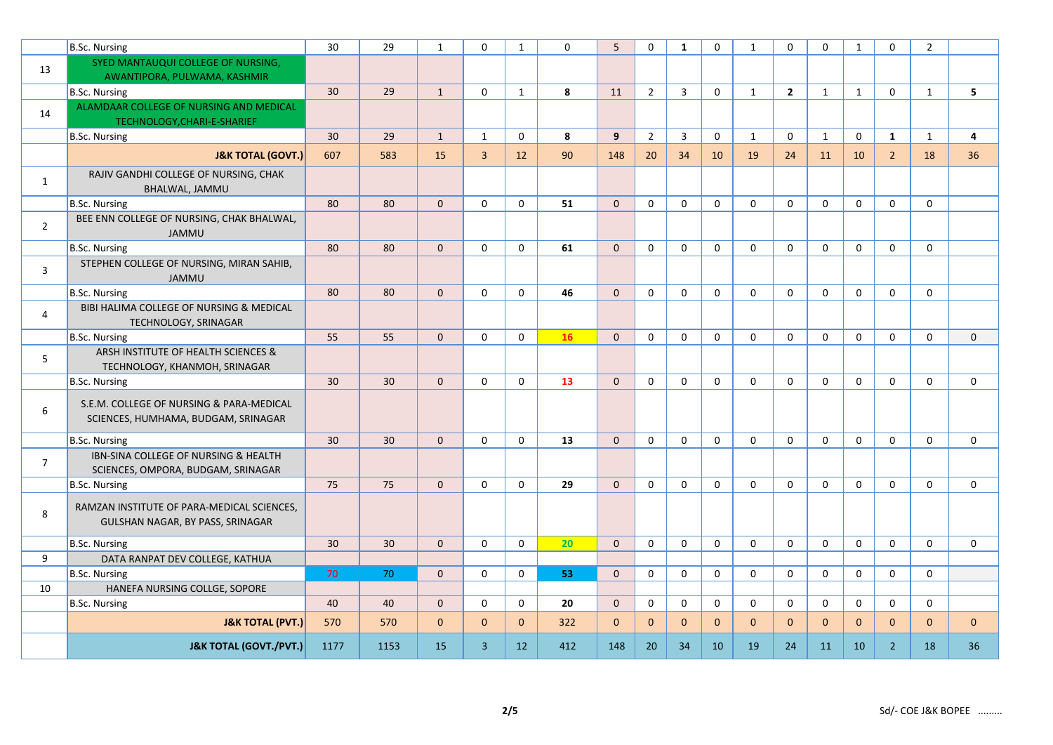|                | B.Sc. Nursing                                                                   | 30              | 29   | $\mathbf{1}$ | $\Omega$       | $\mathbf{1}$      | $\Omega$ | 5            | $\Omega$       | $\mathbf{1}$ | $\Omega$     | 1            | $\Omega$       | $\Omega$     | $\mathbf{1}$ | $\mathbf{0}$   | $\overline{2}$ |                |
|----------------|---------------------------------------------------------------------------------|-----------------|------|--------------|----------------|-------------------|----------|--------------|----------------|--------------|--------------|--------------|----------------|--------------|--------------|----------------|----------------|----------------|
| 13             | SYED MANTAUQUI COLLEGE OF NURSING,                                              |                 |      |              |                |                   |          |              |                |              |              |              |                |              |              |                |                |                |
|                | AWANTIPORA, PULWAMA, KASHMIR                                                    |                 |      |              |                |                   |          |              |                |              |              |              |                |              |              |                |                |                |
|                | B.Sc. Nursing                                                                   | 30              | 29   | $\mathbf{1}$ | $\mathbf 0$    | $\mathbf{1}$      | 8        | 11           | $\overline{2}$ | 3            | $\mathbf 0$  | $\mathbf{1}$ | $\overline{2}$ | $\mathbf{1}$ | $\mathbf{1}$ | $\mathbf 0$    | $\mathbf{1}$   | 5              |
| 14             | ALAMDAAR COLLEGE OF NURSING AND MEDICAL<br>TECHNOLOGY, CHARI-E-SHARIEF          |                 |      |              |                |                   |          |              |                |              |              |              |                |              |              |                |                |                |
|                | B.Sc. Nursing                                                                   | 30 <sup>°</sup> | 29   | $\mathbf{1}$ | 1              | $\mathbf 0$       | 8        | 9            | $\overline{2}$ | 3            | $\mathbf 0$  | $\mathbf{1}$ | $\mathbf 0$    | $\mathbf{1}$ | 0            | 1              | $\mathbf{1}$   | $\overline{a}$ |
|                | <b>J&amp;K TOTAL (GOVT.)</b>                                                    | 607             | 583  | 15           | $\overline{3}$ | 12                | 90       | 148          | 20             | 34           | 10           | 19           | 24             | 11           | 10           | $\overline{2}$ | 18             | 36             |
| $\mathbf{1}$   | RAJIV GANDHI COLLEGE OF NURSING, CHAK<br>BHALWAL, JAMMU                         |                 |      |              |                |                   |          |              |                |              |              |              |                |              |              |                |                |                |
|                | B.Sc. Nursing                                                                   | 80              | 80   | $\mathbf{0}$ | $\mathbf 0$    | $\mathbf 0$       | 51       | $\mathbf{0}$ | $\mathbf 0$    | $\mathbf 0$  | 0            | $\mathbf 0$  | $\mathbf 0$    | $\mathbf 0$  | 0            | $\mathbf 0$    | $\mathbf 0$    |                |
| $\overline{2}$ | BEE ENN COLLEGE OF NURSING, CHAK BHALWAL,<br><b>JAMMU</b>                       |                 |      |              |                |                   |          |              |                |              |              |              |                |              |              |                |                |                |
|                | B.Sc. Nursing                                                                   | 80              | 80   | $\mathbf{0}$ | $\mathbf 0$    | $\mathbf 0$       | 61       | $\mathbf{0}$ | $\mathbf 0$    | $\mathbf 0$  | $\mathbf 0$  | $\mathbf 0$  | $\mathbf 0$    | 0            | $\mathbf 0$  | $\mathbf 0$    | $\mathbf 0$    |                |
| $\overline{3}$ | STEPHEN COLLEGE OF NURSING, MIRAN SAHIB,<br><b>JAMMU</b>                        |                 |      |              |                |                   |          |              |                |              |              |              |                |              |              |                |                |                |
|                | B.Sc. Nursing                                                                   | 80              | 80   | $\mathbf{0}$ | $\mathbf 0$    | $\mathbf 0$       | 46       | $\mathbf 0$  | 0              | $\mathbf 0$  | $\mathbf 0$  | $\mathbf 0$  | $\mathbf 0$    | $\mathbf 0$  | $\mathsf 0$  | $\mathbf 0$    | $\mathbf 0$    |                |
| $\overline{4}$ | BIBI HALIMA COLLEGE OF NURSING & MEDICAL<br>TECHNOLOGY, SRINAGAR                |                 |      |              |                |                   |          |              |                |              |              |              |                |              |              |                |                |                |
|                | B.Sc. Nursing                                                                   | 55              | 55   | $\mathbf{0}$ | $\mathbf 0$    | $\mathbf 0$       | 16       | $\mathbf{0}$ | $\mathbf 0$    | $\mathbf 0$  | $\mathbf 0$  | $\mathbf 0$  | $\mathbf 0$    | $\mathbf 0$  | $\mathbf 0$  | $\mathbf 0$    | $\mathbf 0$    | $\mathbf 0$    |
| 5              | ARSH INSTITUTE OF HEALTH SCIENCES &<br>TECHNOLOGY, KHANMOH, SRINAGAR            |                 |      |              |                |                   |          |              |                |              |              |              |                |              |              |                |                |                |
|                | B.Sc. Nursing                                                                   | 30              | 30   | $\mathbf{0}$ | $\mathbf{0}$   | $\mathbf 0$       | 13       | $\Omega$     | 0              | $\Omega$     | $\Omega$     | $\Omega$     | $\Omega$       | $\Omega$     | $\mathbf 0$  | $\mathbf{0}$   | $\mathbf 0$    | $\mathbf 0$    |
| $\sqrt{6}$     | S.E.M. COLLEGE OF NURSING & PARA-MEDICAL<br>SCIENCES, HUMHAMA, BUDGAM, SRINAGAR |                 |      |              |                |                   |          |              |                |              |              |              |                |              |              |                |                |                |
|                | <b>B.Sc. Nursing</b>                                                            | 30              | 30   | $\Omega$     | $\mathbf 0$    | $\mathbf 0$       | 13       | $\Omega$     | $\mathbf 0$    | $\mathbf 0$  | $\mathbf 0$  | $\Omega$     | $\Omega$       | $\Omega$     | $\mathbf 0$  | $\mathbf 0$    | 0              | $\mathbf 0$    |
| $\overline{7}$ | IBN-SINA COLLEGE OF NURSING & HEALTH<br>SCIENCES, OMPORA, BUDGAM, SRINAGAR      |                 |      |              |                |                   |          |              |                |              |              |              |                |              |              |                |                |                |
|                | B.Sc. Nursing                                                                   | 75              | 75   | $\Omega$     | $\mathbf{0}$   | $\mathbf 0$       | 29       | $\Omega$     | 0              | $\mathbf 0$  | $\Omega$     | $\mathbf{0}$ | $\Omega$       | $\Omega$     | $\mathbf 0$  | $\mathbf{0}$   | $\Omega$       | $\mathbf 0$    |
| 8              | RAMZAN INSTITUTE OF PARA-MEDICAL SCIENCES,<br>GULSHAN NAGAR, BY PASS, SRINAGAR  |                 |      |              |                |                   |          |              |                |              |              |              |                |              |              |                |                |                |
|                | B.Sc. Nursing                                                                   | 30              | 30   | $\Omega$     | $\mathbf{0}$   | $\mathbf 0$       | 20       | $\Omega$     | $\Omega$       | $\Omega$     | $\Omega$     | $\mathbf{0}$ | $\Omega$       | $\Omega$     | $\mathbf 0$  | $\mathbf{0}$   | $\Omega$       | $\mathbf{0}$   |
| 9              | DATA RANPAT DEV COLLEGE, KATHUA                                                 |                 |      |              |                |                   |          |              |                |              |              |              |                |              |              |                |                |                |
|                | B.Sc. Nursing                                                                   | 70              | 70   | $\mathbf{0}$ | $\mathbf 0$    | $\mathbf 0$       | 53       | $\mathbf{0}$ | 0              | $\mathbf 0$  | $\mathbf 0$  | $\mathbf 0$  | $\mathbf 0$    | $\mathbf 0$  | $\mathbf 0$  | $\mathbf 0$    | $\mathbf 0$    |                |
| 10             | HANEFA NURSING COLLGE, SOPORE                                                   |                 |      |              |                |                   |          |              |                |              |              |              |                |              |              |                |                |                |
|                | B.Sc. Nursing                                                                   | 40              | 40   | $\mathbf{0}$ | $\mathbf 0$    | $\mathbf 0$       | 20       | $\mathbf{0}$ | 0              | $\mathbf 0$  | $\mathbf 0$  | $\mathbf 0$  | $\mathbf 0$    | $\mathbf 0$  | $\mathbf 0$  | $\mathbf 0$    | $\mathbf 0$    |                |
|                | <b>J&amp;K TOTAL (PVT.)</b>                                                     | 570             | 570  | $\mathbf{0}$ | $\mathbf{0}$   | $\mathbf{0}$      | 322      | $\mathbf{0}$ | $\mathbf{0}$   | $\mathbf{0}$ | $\mathbf{0}$ | $\mathbf{0}$ | $\mathbf{0}$   | $\mathbf{0}$ | $\mathbf{0}$ | $\mathbf{0}$   | $\mathbf{0}$   | $\mathbf{0}$   |
|                | <b>J&amp;K TOTAL (GOVT./PVT.)</b>                                               | 1177            | 1153 | 15           | $\overline{3}$ | $12 \overline{ }$ | 412      | 148          | 20             | 34           | 10           | 19           | 24             | 11           | 10           | $\overline{2}$ | 18             | 36             |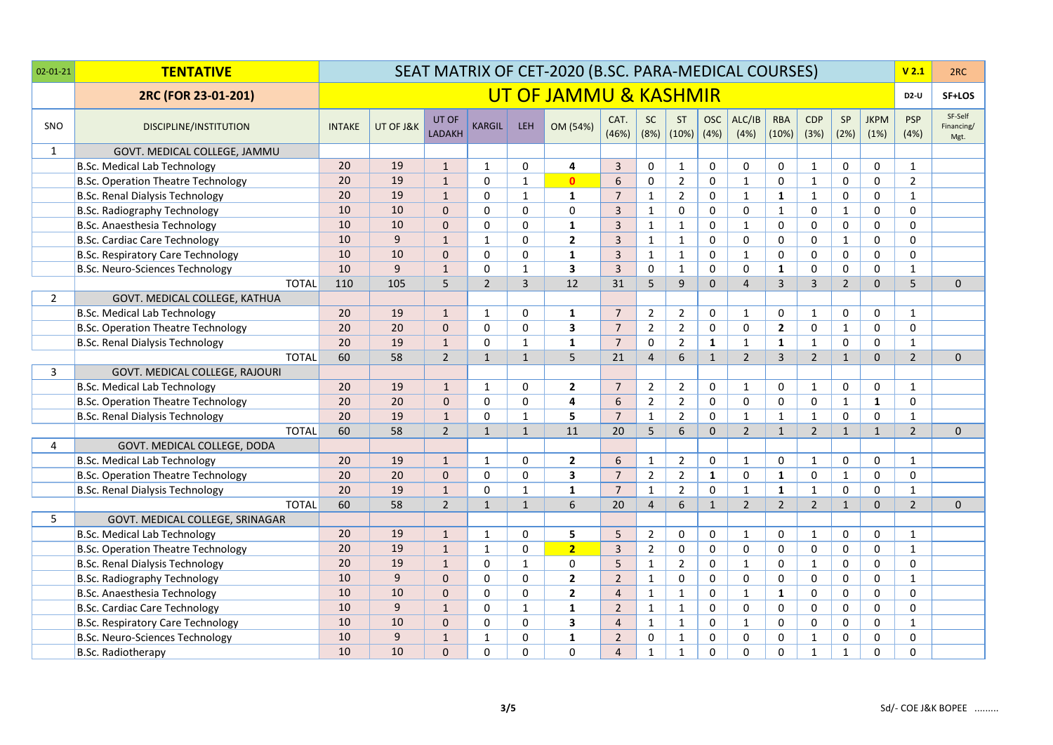| $02 - 01 - 21$ | <b>TENTATIVE</b>                          |               |           |                        |                |                | SEAT MATRIX OF CET-2020 (B.SC. PARA-MEDICAL COURSES) |                |                   |                    |                    |                |                     |                    |                |                     | V <sub>2.1</sub>   | 2RC                           |
|----------------|-------------------------------------------|---------------|-----------|------------------------|----------------|----------------|------------------------------------------------------|----------------|-------------------|--------------------|--------------------|----------------|---------------------|--------------------|----------------|---------------------|--------------------|-------------------------------|
|                | 2RC (FOR 23-01-201)                       |               |           |                        |                |                | UT OF JAMMU & KASHMIR                                |                |                   |                    |                    |                |                     |                    |                |                     | <b>D2-U</b>        | SF+LOS                        |
| <b>SNO</b>     | <b>DISCIPLINE/INSTITUTION</b>             | <b>INTAKE</b> | UT OF J&K | UT OF<br><b>LADAKH</b> | <b>KARGIL</b>  | <b>LEH</b>     | OM (54%)                                             | CAT.<br>(46%)  | <b>SC</b><br>(8%) | <b>ST</b><br>(10%) | <b>OSC</b><br>(4%) | ALC/IB<br>(4%) | <b>RBA</b><br>(10%) | <b>CDP</b><br>(3%) | SP<br>(2%)     | <b>JKPM</b><br>(1%) | <b>PSP</b><br>(4%) | SF-Self<br>Financing/<br>Mgt. |
| $\mathbf{1}$   | GOVT. MEDICAL COLLEGE, JAMMU              |               |           |                        |                |                |                                                      |                |                   |                    |                    |                |                     |                    |                |                     |                    |                               |
|                | <b>B.Sc. Medical Lab Technology</b>       | 20            | 19        | $\mathbf{1}$           | $\mathbf{1}$   | 0              | 4                                                    | $\overline{3}$ | $\mathbf 0$       | $\mathbf{1}$       | $\Omega$           | 0              | $\mathbf 0$         | 1                  | 0              | $\mathbf 0$         | $\mathbf{1}$       |                               |
|                | <b>B.Sc. Operation Theatre Technology</b> | 20            | 19        | $\mathbf{1}$           | $\Omega$       | $\mathbf{1}$   | $\mathbf{0}$                                         | 6              | $\mathbf 0$       | $\overline{2}$     | $\Omega$           | $\mathbf{1}$   | $\mathbf 0$         | $\mathbf{1}$       | 0              | $\Omega$            | $\overline{2}$     |                               |
|                | <b>B.Sc. Renal Dialysis Technology</b>    | 20            | 19        | $\mathbf{1}$           | $\Omega$       | $\mathbf{1}$   | $\mathbf{1}$                                         | $\overline{7}$ | $\mathbf{1}$      | $\overline{2}$     | $\Omega$           | $\mathbf{1}$   | $\mathbf{1}$        | $\mathbf{1}$       | 0              | $\mathbf 0$         | $\mathbf{1}$       |                               |
|                | B.Sc. Radiography Technology              | 10            | 10        | $\Omega$               | $\Omega$       | $\Omega$       | 0                                                    | $\overline{3}$ | $\mathbf{1}$      | 0                  | $\Omega$           | 0              | $\mathbf{1}$        | $\Omega$           | $\mathbf{1}$   | $\mathbf 0$         | $\Omega$           |                               |
|                | B.Sc. Anaesthesia Technology              | 10            | 10        | $\Omega$               | $\Omega$       | $\mathbf 0$    | $\mathbf{1}$                                         | $\overline{3}$ | $\mathbf{1}$      | $\mathbf{1}$       | $\Omega$           | $\mathbf{1}$   | $\mathbf 0$         | $\Omega$           | 0              | $\mathbf 0$         | $\Omega$           |                               |
|                | <b>B.Sc. Cardiac Care Technology</b>      | 10            | 9         | $\mathbf{1}$           | $\mathbf{1}$   | $\Omega$       | $\overline{2}$                                       | $\overline{3}$ | $\mathbf{1}$      | $\mathbf{1}$       | $\Omega$           | 0              | $\mathbf 0$         | $\Omega$           | $\mathbf{1}$   | $\mathbf 0$         | $\Omega$           |                               |
|                | <b>B.Sc. Respiratory Care Technology</b>  | 10            | 10        | $\mathbf{0}$           | $\Omega$       | $\Omega$       | $\mathbf{1}$                                         | $\overline{3}$ | $\mathbf{1}$      | $\mathbf{1}$       | $\Omega$           | $\mathbf{1}$   | $\Omega$            | $\Omega$           | 0              | $\mathbf 0$         | $\Omega$           |                               |
|                | B.Sc. Neuro-Sciences Technology           | 10            | 9         | $\mathbf{1}$           | $\Omega$       | $\mathbf{1}$   | 3                                                    | $\overline{3}$ | $\mathbf 0$       | $\mathbf{1}$       | $\Omega$           | $\mathbf{0}$   | $\mathbf{1}$        | $\Omega$           | 0              | $\Omega$            | $\mathbf{1}$       |                               |
|                | <b>TOTAL</b>                              | 110           | 105       | 5                      | $\overline{2}$ | $\overline{3}$ | 12                                                   | 31             | 5                 | 9                  | $\Omega$           | $\overline{4}$ | $\overline{3}$      | $\overline{3}$     | $\overline{2}$ | $\Omega$            | $\overline{5}$     | $\Omega$                      |
| $\overline{2}$ | GOVT. MEDICAL COLLEGE, KATHUA             |               |           |                        |                |                |                                                      |                |                   |                    |                    |                |                     |                    |                |                     |                    |                               |
|                | <b>B.Sc. Medical Lab Technology</b>       | 20            | 19        | $\mathbf{1}$           | $\mathbf{1}$   | $\mathbf 0$    | $\mathbf{1}$                                         | $\overline{7}$ | $\overline{2}$    | $\overline{2}$     | $\mathbf{0}$       | 1              | $\mathbf 0$         | $\mathbf{1}$       | 0              | $\mathbf 0$         | $\mathbf{1}$       |                               |
|                | <b>B.Sc. Operation Theatre Technology</b> | 20            | 20        | $\mathbf{0}$           | $\Omega$       | $\mathbf 0$    | 3                                                    | $\overline{7}$ | $\overline{2}$    | $\overline{2}$     | 0                  | $\mathbf 0$    | $\overline{2}$      | $\mathbf 0$        | $\mathbf{1}$   | $\mathbf 0$         | 0                  |                               |
|                | B.Sc. Renal Dialysis Technology           | 20            | 19        | $\mathbf{1}$           | $\Omega$       | $\mathbf{1}$   | $\mathbf{1}$                                         | $\overline{7}$ | $\Omega$          | $\overline{2}$     | $\mathbf{1}$       | $\mathbf{1}$   | $\mathbf{1}$        | $\mathbf{1}$       | $\Omega$       | 0                   | $\mathbf{1}$       |                               |
|                | <b>TOTAL</b>                              | 60            | 58        | $\overline{2}$         | $\mathbf{1}$   | $\mathbf{1}$   | 5                                                    | 21             | $\overline{4}$    | 6                  | $\mathbf{1}$       | $\overline{2}$ | $\overline{3}$      | $\overline{2}$     | $\mathbf{1}$   | $\Omega$            | $\overline{2}$     | $\Omega$                      |
| 3              | GOVT. MEDICAL COLLEGE, RAJOURI            |               |           |                        |                |                |                                                      |                |                   |                    |                    |                |                     |                    |                |                     |                    |                               |
|                | <b>B.Sc. Medical Lab Technology</b>       | 20            | 19        | $\mathbf{1}$           | 1              | 0              | $\mathbf{2}$                                         | $\overline{7}$ | $\overline{2}$    | $\overline{2}$     | 0                  | $\mathbf{1}$   | $\mathbf 0$         | 1                  | 0              | $\mathbf 0$         | $\mathbf{1}$       |                               |
|                | <b>B.Sc. Operation Theatre Technology</b> | 20            | 20        | $\mathbf{0}$           | $\Omega$       | 0              | 4                                                    | 6              | $\overline{2}$    | $\overline{2}$     | $\Omega$           | 0              | $\mathbf 0$         | $\Omega$           | $\mathbf{1}$   | $\mathbf{1}$        | 0                  |                               |
|                | B.Sc. Renal Dialysis Technology           | 20            | 19        | $\mathbf{1}$           | $\Omega$       | $\mathbf{1}$   | 5                                                    | $\overline{7}$ | $\mathbf{1}$      | $\overline{2}$     | 0                  | $\mathbf{1}$   | $\mathbf{1}$        | $\mathbf{1}$       | 0              | $\mathbf 0$         | $\mathbf{1}$       |                               |
|                | <b>TOTAL</b>                              | 60            | 58        | $\overline{2}$         | $\mathbf{1}$   | $\mathbf{1}$   | 11                                                   | 20             | 5                 | 6                  | $\Omega$           | $\overline{2}$ | $\mathbf{1}$        | $\overline{2}$     | $\mathbf{1}$   | $\mathbf{1}$        | $\overline{2}$     | 0                             |
| $\overline{4}$ | GOVT. MEDICAL COLLEGE, DODA               |               |           |                        |                |                |                                                      |                |                   |                    |                    |                |                     |                    |                |                     |                    |                               |
|                | <b>B.Sc. Medical Lab Technology</b>       | 20            | 19        | $\mathbf{1}$           | 1              | 0              | $\overline{2}$                                       | 6              | $\mathbf{1}$      | $\overline{2}$     | 0                  | 1              | 0                   | 1                  | $\mathbf 0$    | $\mathbf 0$         | $\mathbf{1}$       |                               |
|                | <b>B.Sc. Operation Theatre Technology</b> | 20            | 20        | $\mathbf{0}$           | $\Omega$       | $\Omega$       | 3                                                    | $\overline{7}$ | $\overline{2}$    | $\overline{2}$     | $\mathbf{1}$       | $\mathbf 0$    | $\mathbf{1}$        | $\Omega$           | $\mathbf 1$    | $\Omega$            | $\mathbf{0}$       |                               |
|                | B.Sc. Renal Dialysis Technology           | 20            | 19        | $\mathbf{1}$           | $\Omega$       | $\mathbf{1}$   | $\mathbf{1}$                                         | $\overline{7}$ | $\mathbf{1}$      | $\overline{2}$     | $\Omega$           | $\mathbf{1}$   | $\mathbf{1}$        | $\mathbf{1}$       | 0              | $\mathbf 0$         | $\mathbf{1}$       |                               |
|                | <b>TOTAL</b>                              | 60            | 58        | $\overline{2}$         | $\mathbf{1}$   | $\mathbf{1}$   | 6                                                    | 20             | $\overline{4}$    | 6                  | $\mathbf{1}$       | $\overline{2}$ | $\overline{2}$      | $\overline{2}$     | $\mathbf{1}$   | $\mathbf{0}$        | $\overline{2}$     | $\mathbf 0$                   |
| 5              | GOVT. MEDICAL COLLEGE, SRINAGAR           |               |           |                        |                |                |                                                      |                |                   |                    |                    |                |                     |                    |                |                     |                    |                               |
|                | <b>B.Sc. Medical Lab Technology</b>       | 20            | 19        | $\mathbf{1}$           | 1              | 0              | 5                                                    | 5              | $\overline{2}$    | 0                  | 0                  | 1              | 0                   | $\mathbf{1}$       | 0              | $\mathbf 0$         | $\mathbf{1}$       |                               |
|                | <b>B.Sc. Operation Theatre Technology</b> | 20            | 19        | $\mathbf{1}$           | $\mathbf{1}$   | $\mathbf 0$    | $\overline{2}$                                       | $\overline{3}$ | $\overline{2}$    | 0                  | 0                  | 0              | $\mathbf 0$         | $\mathbf 0$        | 0              | $\mathbf 0$         | $\mathbf{1}$       |                               |
|                | B.Sc. Renal Dialysis Technology           | 20            | 19        | $\mathbf 1$            | $\mathbf 0$    | $\mathbf 1$    | 0                                                    | 5              | $\mathbf{1}$      | $\overline{2}$     | 0                  | $\mathbf{1}$   | 0                   | $\mathbf{1}$       | 0              | $\mathbf 0$         | 0                  |                               |
|                | B.Sc. Radiography Technology              | 10            | 9         | $\mathbf{0}$           | $\Omega$       | 0              | $\mathbf{2}$                                         | $\overline{2}$ | $\mathbf{1}$      | 0                  | $\Omega$           | 0              | $\mathbf 0$         | $\Omega$           | 0              | $\mathbf 0$         | $\mathbf{1}$       |                               |
|                | B.Sc. Anaesthesia Technology              | 10            | 10        | $\mathbf{0}$           | $\Omega$       | 0              | $\mathbf{2}$                                         | $\overline{4}$ | $\mathbf{1}$      | $\mathbf{1}$       | 0                  | $\mathbf{1}$   | 1                   | 0                  | 0              | $\mathbf 0$         | $\Omega$           |                               |
|                | B.Sc. Cardiac Care Technology             | 10            | 9         | $\mathbf{1}$           | $\Omega$       | $\mathbf{1}$   | $\mathbf{1}$                                         | $\overline{2}$ | $\mathbf{1}$      | $\mathbf{1}$       | 0                  | 0              | $\mathbf 0$         | 0                  | 0              | 0                   | $\Omega$           |                               |
|                | <b>B.Sc. Respiratory Care Technology</b>  | 10            | 10        | $\mathbf{0}$           | $\Omega$       | 0              | 3                                                    | $\overline{4}$ | $\mathbf{1}$      | $\mathbf{1}$       | 0                  | $\mathbf{1}$   | $\mathbf 0$         | 0                  | 0              | $\mathbf 0$         | $\mathbf{1}$       |                               |
|                | B.Sc. Neuro-Sciences Technology           | 10            | 9         | $\mathbf{1}$           | $\mathbf{1}$   | 0              | $\mathbf{1}$                                         | $\overline{2}$ | $\mathbf 0$       | $\mathbf{1}$       | 0                  | $\mathbf 0$    | $\mathbf 0$         | $\mathbf{1}$       | 0              | $\mathbf 0$         | 0                  |                               |
|                | <b>B.Sc. Radiotherapy</b>                 | 10            | 10        | $\Omega$               | $\Omega$       | $\Omega$       | $\Omega$                                             | $\overline{4}$ | $\mathbf{1}$      | $\mathbf{1}$       | $\Omega$           | 0              | $\Omega$            | $\mathbf{1}$       | $\mathbf{1}$   | $\mathbf 0$         | $\Omega$           |                               |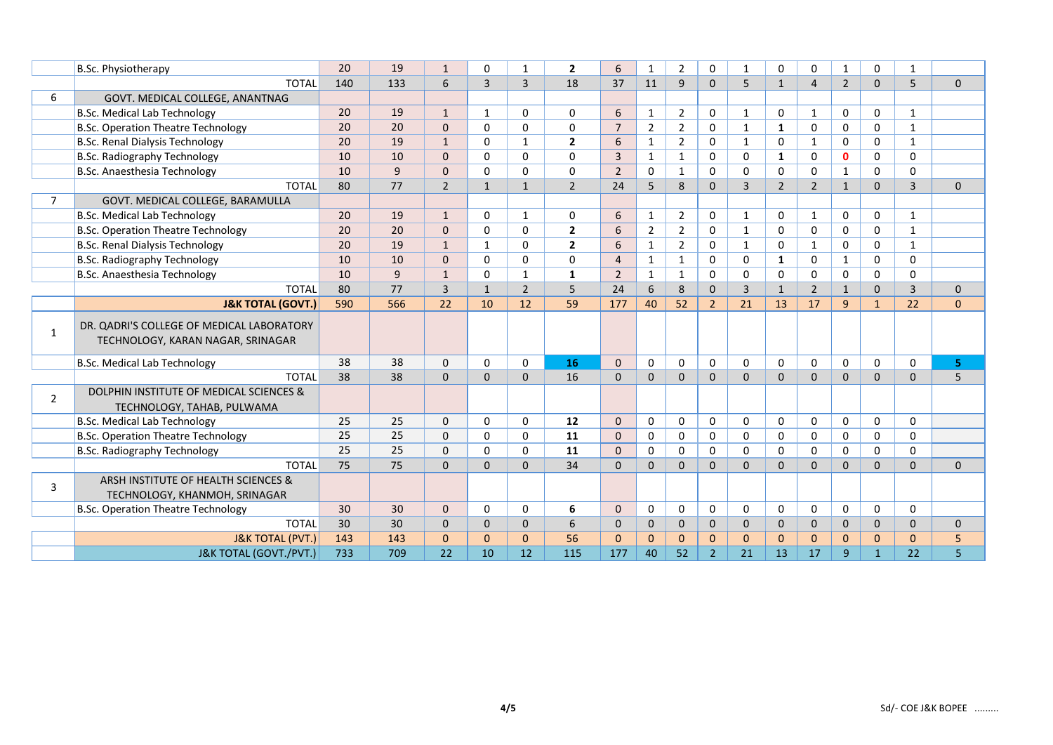|                | B.Sc. Physiotherapy                                                            | 20  | 19  | $\mathbf{1}$   | $\Omega$       | 1              | $\overline{2}$ | 6              | $\mathbf{1}$   | $\overline{2}$ | 0              | 1              | $\Omega$       | $\mathbf 0$    | 1              | $\Omega$     | $\mathbf{1}$   |              |
|----------------|--------------------------------------------------------------------------------|-----|-----|----------------|----------------|----------------|----------------|----------------|----------------|----------------|----------------|----------------|----------------|----------------|----------------|--------------|----------------|--------------|
|                | <b>TOTAL</b>                                                                   | 140 | 133 | 6              | $\overline{3}$ | $\overline{3}$ | 18             | 37             | 11             | $\overline{9}$ | $\mathbf{0}$   | 5              | $\mathbf{1}$   | $\overline{4}$ | $\overline{2}$ | $\mathbf{0}$ | 5              | $\mathbf{0}$ |
| 6              | GOVT. MEDICAL COLLEGE, ANANTNAG                                                |     |     |                |                |                |                |                |                |                |                |                |                |                |                |              |                |              |
|                | <b>B.Sc. Medical Lab Technology</b>                                            | 20  | 19  | $\mathbf{1}$   | 1              | 0              | 0              | 6              | 1              | $\overline{2}$ | 0              | 1              | 0              | 1              | 0              | 0            | $\mathbf{1}$   |              |
|                | <b>B.Sc. Operation Theatre Technology</b>                                      | 20  | 20  | $\Omega$       | $\Omega$       | $\Omega$       | 0              | $\overline{7}$ | $\overline{2}$ | $\overline{2}$ | $\Omega$       | 1              | $\mathbf{1}$   | $\mathbf 0$    | $\Omega$       | $\Omega$     | $\mathbf{1}$   |              |
|                | B.Sc. Renal Dialysis Technology                                                | 20  | 19  | $\mathbf{1}$   | $\Omega$       | $\mathbf{1}$   | $\overline{2}$ | 6              | 1              | $\overline{2}$ | 0              | $\mathbf{1}$   | $\Omega$       | $\mathbf{1}$   | 0              | 0            | $\mathbf{1}$   |              |
|                | B.Sc. Radiography Technology                                                   | 10  | 10  | $\mathbf{0}$   | $\Omega$       | 0              | 0              | $\overline{3}$ | 1              | $\mathbf{1}$   | $\Omega$       | 0              | $\mathbf{1}$   | $\Omega$       | $\mathbf 0$    | $\mathbf 0$  | 0              |              |
|                | B.Sc. Anaesthesia Technology                                                   | 10  | 9   | $\mathbf 0$    | $\Omega$       | $\Omega$       | 0              | $\overline{2}$ | $\mathbf{0}$   | $\mathbf{1}$   | 0              | $\Omega$       | $\Omega$       | $\Omega$       | $\mathbf{1}$   | $\Omega$     | $\Omega$       |              |
|                | <b>TOTAL</b>                                                                   | 80  | 77  | $\overline{2}$ | $\mathbf{1}$   | $\mathbf{1}$   | $\overline{2}$ | 24             | 5              | 8              | $\Omega$       | $\overline{3}$ | $\overline{2}$ | $\overline{2}$ | $\mathbf{1}$   | $\Omega$     | $\overline{3}$ | $\mathbf{0}$ |
| $\overline{7}$ | GOVT. MEDICAL COLLEGE, BARAMULLA                                               |     |     |                |                |                |                |                |                |                |                |                |                |                |                |              |                |              |
|                | <b>B.Sc. Medical Lab Technology</b>                                            | 20  | 19  | $\mathbf{1}$   | $\mathbf{0}$   | 1              | 0              | 6              | 1              | $\overline{2}$ | 0              | $\mathbf{1}$   | $\Omega$       | 1              | 0              | 0            | $\mathbf{1}$   |              |
|                | <b>B.Sc. Operation Theatre Technology</b>                                      | 20  | 20  | $\mathbf{0}$   | $\Omega$       | $\mathbf 0$    | $\overline{2}$ | 6              | $\overline{2}$ | $\overline{2}$ | $\Omega$       | $\mathbf{1}$   | $\Omega$       | $\Omega$       | 0              | $\Omega$     | $\mathbf{1}$   |              |
|                | B.Sc. Renal Dialysis Technology                                                | 20  | 19  | $\mathbf{1}$   | 1              | 0              | $\mathbf{2}$   | 6              | 1              | $\overline{2}$ | $\mathbf 0$    | 1              | 0              | $\mathbf{1}$   | 0              | 0            | $\mathbf{1}$   |              |
|                | B.Sc. Radiography Technology                                                   | 10  | 10  | $\mathbf{0}$   | $\Omega$       | $\Omega$       | 0              | $\overline{4}$ | $\mathbf{1}$   | $\mathbf{1}$   | $\Omega$       | $\Omega$       | 1              | $\Omega$       | $\mathbf{1}$   | $\Omega$     | $\Omega$       |              |
|                | B.Sc. Anaesthesia Technology                                                   | 10  | 9   | $\mathbf{1}$   | $\Omega$       | $\mathbf{1}$   | $\mathbf{1}$   | $\overline{2}$ | $\mathbf{1}$   | $\mathbf{1}$   | $\Omega$       | $\Omega$       | $\Omega$       | $\Omega$       | $\Omega$       | $\Omega$     | $\Omega$       |              |
|                | <b>TOTAL</b>                                                                   | 80  | 77  | $\overline{3}$ | $\mathbf{1}$   | $\overline{2}$ | 5              | 24             | 6              | 8              | $\mathbf{0}$   | $\overline{3}$ | $\mathbf{1}$   | $\overline{2}$ | $\mathbf{1}$   | $\mathbf{0}$ | $\overline{3}$ | $\mathbf{0}$ |
|                | <b>J&amp;K TOTAL (GOVT.)</b>                                                   | 590 | 566 | 22             | 10             | 12             | 59             | 177            | 40             | 52             | $\overline{2}$ | 21             | 13             | 17             | 9              | $\mathbf{1}$ | 22             | $\mathbf{0}$ |
| 1              | DR. QADRI'S COLLEGE OF MEDICAL LABORATORY<br>TECHNOLOGY, KARAN NAGAR, SRINAGAR |     |     |                |                |                |                |                |                |                |                |                |                |                |                |              |                |              |
|                | <b>B.Sc. Medical Lab Technology</b>                                            | 38  | 38  | $\mathbf 0$    | $\Omega$       | $\Omega$       | 16             | $\Omega$       | $\mathbf 0$    | $\Omega$       | $\mathbf 0$    | $\Omega$       | $\Omega$       | $\mathbf{0}$   | 0              | 0            | $\Omega$       | 5.           |
|                | <b>TOTAL</b>                                                                   | 38  | 38  | $\mathbf{0}$   | $\mathbf{0}$   | $\Omega$       | 16             | $\mathbf{0}$   | $\mathbf{0}$   | $\mathbf{0}$   | $\mathbf{0}$   | $\mathbf{0}$   | $\mathbf{0}$   | $\mathbf{0}$   | $\mathbf{0}$   | $\mathbf 0$  | $\mathbf{0}$   | 5            |
| $\overline{2}$ | DOLPHIN INSTITUTE OF MEDICAL SCIENCES &<br>TECHNOLOGY, TAHAB, PULWAMA          |     |     |                |                |                |                |                |                |                |                |                |                |                |                |              |                |              |
|                | <b>B.Sc. Medical Lab Technology</b>                                            | 25  | 25  | $\mathbf 0$    | $\mathbf{0}$   | 0              | 12             | $\mathbf{0}$   | 0              | $\Omega$       | $\mathbf 0$    | $\mathbf{0}$   | 0              | $\mathbf 0$    | 0              | 0            | $\mathbf 0$    |              |
|                | <b>B.Sc. Operation Theatre Technology</b>                                      | 25  | 25  | $\mathbf 0$    | $\Omega$       | $\Omega$       | 11             | $\Omega$       | $\mathbf 0$    | 0              | $\Omega$       | $\Omega$       | $\Omega$       | $\mathbf 0$    | 0              | 0            | $\Omega$       |              |
|                | B.Sc. Radiography Technology                                                   | 25  | 25  | $\mathbf 0$    | $\Omega$       | $\Omega$       | 11             | $\Omega$       | $\mathbf 0$    | $\Omega$       | 0              | $\Omega$       | $\Omega$       | $\Omega$       | $\Omega$       | $\Omega$     | $\Omega$       |              |
|                | <b>TOTAL</b>                                                                   | 75  | 75  | $\Omega$       | $\Omega$       | $\Omega$       | 34             | $\Omega$       | $\Omega$       | $\Omega$       | $\Omega$       | $\Omega$       | $\Omega$       | $\Omega$       | $\Omega$       | $\Omega$     | $\Omega$       | $\Omega$     |
| 3              | ARSH INSTITUTE OF HEALTH SCIENCES &<br>TECHNOLOGY, KHANMOH, SRINAGAR           |     |     |                |                |                |                |                |                |                |                |                |                |                |                |              |                |              |
|                | <b>B.Sc. Operation Theatre Technology</b>                                      | 30  | 30  | $\mathbf{0}$   | 0              | 0              | 6              | 0              | 0              | $\Omega$       | 0              | $\mathbf{0}$   | 0              | $\mathbf 0$    | 0              | 0            | $\mathbf{0}$   |              |
|                | <b>TOTAL</b>                                                                   | 30  | 30  | $\mathbf{0}$   | $\Omega$       | $\mathbf{0}$   | 6              | $\mathbf{0}$   | $\mathbf{0}$   | $\Omega$       | $\mathbf{0}$   | $\mathbf{0}$   | $\mathbf{0}$   | $\mathbf{0}$   | $\mathbf 0$    | $\mathbf{0}$ | $\Omega$       | $\mathbf{0}$ |
|                | <b>J&amp;K TOTAL (PVT.)</b>                                                    | 143 | 143 | $\mathbf{0}$   | $\Omega$       | $\Omega$       | 56             | $\Omega$       | $\mathbf{0}$   | $\Omega$       | $\Omega$       | $\Omega$       | $\Omega$       | $\Omega$       | $\mathbf{0}$   | $\mathbf{0}$ | $\Omega$       | 5            |
|                | J&K TOTAL (GOVT./PVT.)                                                         | 733 | 709 | 22             | 10             | 12             | 115            | 177            | 40             | 52             | $\overline{2}$ | 21             | 13             | 17             | 9              | $\mathbf{1}$ | 22             | 5            |